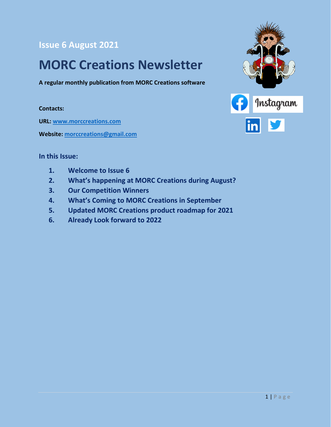#### **Issue 6 August 2021**

## **MORC Creations Newsletter**

**A regular monthly publication from MORC Creations software**

#### **Contacts:**

**URL: [www.morccreations.com](http://www.morccreations.com/)**

**Website: [morccreations@gmail.com](mailto:morccreations@gmail.com)**



#### **In this Issue:**

- **1. Welcome to Issue 6**
- **2. What's happening at MORC Creations during August?**
- **3. Our Competition Winners**
- **4. What's Coming to MORC Creations in September**
- **5. Updated MORC Creations product roadmap for 2021**
- **6. Already Look forward to 2022**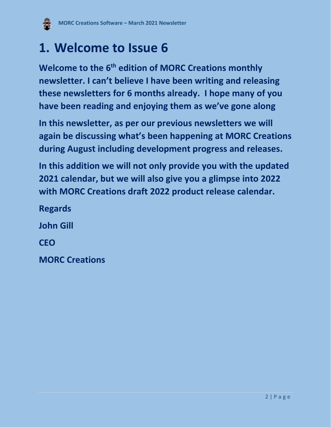

## **1. Welcome to Issue 6**

**Welcome to the 6 th edition of MORC Creations monthly newsletter. I can't believe I have been writing and releasing these newsletters for 6 months already. I hope many of you have been reading and enjoying them as we've gone along**

**In this newsletter, as per our previous newsletters we will again be discussing what's been happening at MORC Creations during August including development progress and releases.**

**In this addition we will not only provide you with the updated 2021 calendar, but we will also give you a glimpse into 2022 with MORC Creations draft 2022 product release calendar.**

**Regards John Gill CEO**

**MORC Creations**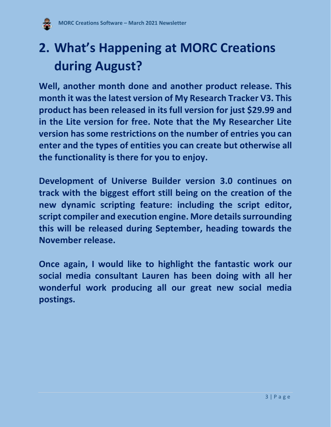

# **2. What's Happening at MORC Creations during August?**

**Well, another month done and another product release. This month it was the latest version of My Research Tracker V3. This product has been released in its full version for just \$29.99 and in the Lite version for free. Note that the My Researcher Lite version has some restrictions on the number of entries you can enter and the types of entities you can create but otherwise all the functionality is there for you to enjoy.**

**Development of Universe Builder version 3.0 continues on track with the biggest effort still being on the creation of the new dynamic scripting feature: including the script editor, script compiler and execution engine. More details surrounding this will be released during September, heading towards the November release.** 

**Once again, I would like to highlight the fantastic work our social media consultant Lauren has been doing with all her wonderful work producing all our great new social media postings.**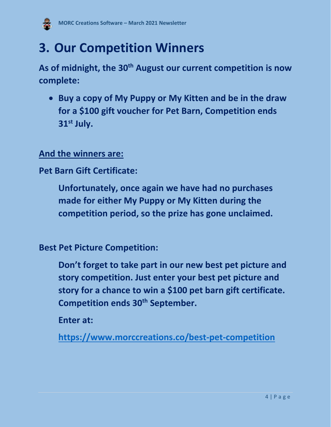

## **3. Our Competition Winners**

**As of midnight, the 30th August our current competition is now complete:**

• **Buy a copy of My Puppy or My Kitten and be in the draw for a \$100 gift voucher for Pet Barn, Competition ends 31 st July.** 

### **And the winners are:**

**Pet Barn Gift Certificate:**

**Unfortunately, once again we have had no purchases made for either My Puppy or My Kitten during the competition period, so the prize has gone unclaimed.** 

**Best Pet Picture Competition:**

**Don't forget to take part in our new best pet picture and story competition. Just enter your best pet picture and story for a chance to win a \$100 pet barn gift certificate. Competition ends 30th September.**

**Enter at:** 

**<https://www.morccreations.co/best-pet-competition>**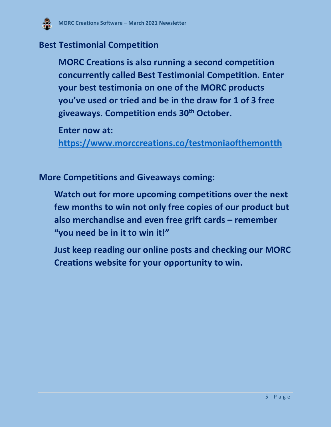

#### **Best Testimonial Competition**

**MORC Creations is also running a second competition concurrently called Best Testimonial Competition. Enter your best testimonia on one of the MORC products you've used or tried and be in the draw for 1 of 3 free giveaways. Competition ends 30th October.**

**Enter now at:** 

**<https://www.morccreations.co/testmoniaofthemontth>**

**More Competitions and Giveaways coming:**

**Watch out for more upcoming competitions over the next few months to win not only free copies of our product but also merchandise and even free grift cards – remember "you need be in it to win it!"** 

**Just keep reading our online posts and checking our MORC Creations website for your opportunity to win.**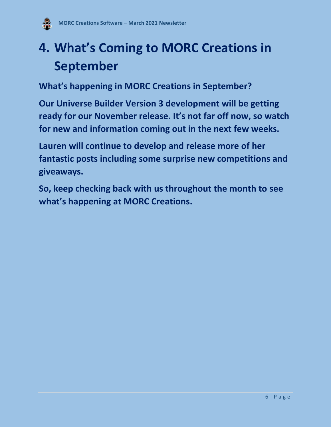

# **4. What's Coming to MORC Creations in September**

**What's happening in MORC Creations in September?** 

**Our Universe Builder Version 3 development will be getting ready for our November release. It's not far off now, so watch for new and information coming out in the next few weeks.**

**Lauren will continue to develop and release more of her fantastic posts including some surprise new competitions and giveaways.**

**So, keep checking back with us throughout the month to see what's happening at MORC Creations.**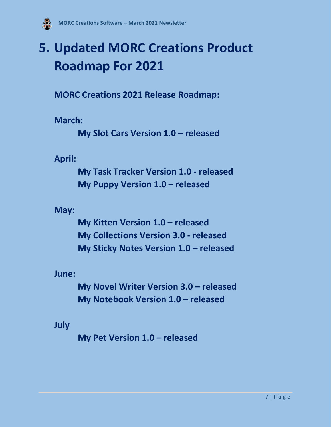

# **5. Updated MORC Creations Product Roadmap For 2021**

**MORC Creations 2021 Release Roadmap:**

**March:**

**My Slot Cars Version 1.0 – released**

**April:**

**My Task Tracker Version 1.0 - released My Puppy Version 1.0 – released**

**May:**

**My Kitten Version 1.0 – released My Collections Version 3.0 - released My Sticky Notes Version 1.0 – released**

**June:**

**My Novel Writer Version 3.0 – released My Notebook Version 1.0 – released**

**July**

**My Pet Version 1.0 – released**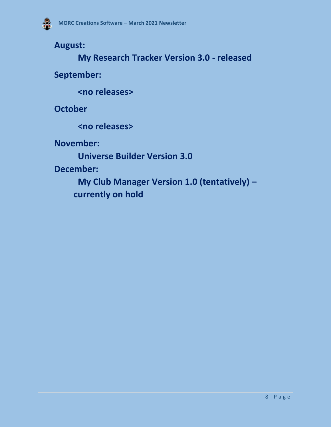**August:**

**My Research Tracker Version 3.0 - released**

**September:**

**<no releases>**

**October**

**<no releases>**

**November:**

**Universe Builder Version 3.0**

**December:**

**My Club Manager Version 1.0 (tentatively) – currently on hold**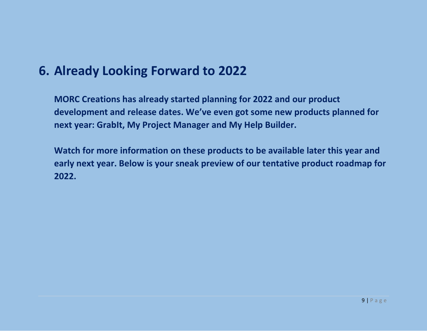### **6. Already Looking Forward to 2022**

**MORC Creations has already started planning for 2022 and our product development and release dates. We've even got some new products planned for next year: GrabIt, My Project Manager and My Help Builder.** 

**Watch for more information on these products to be available later this year and early next year. Below is your sneak preview of our tentative product roadmap for 2022.**